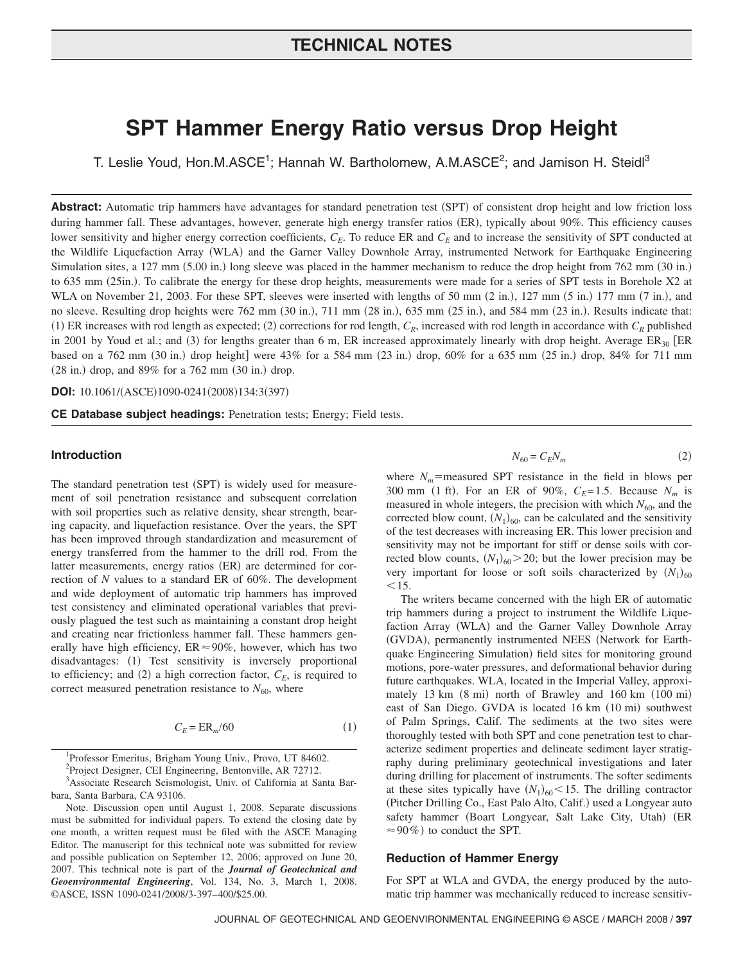# **TECHNICAL NOTES**

# **SPT Hammer Energy Ratio versus Drop Height**

T. Leslie Youd, Hon.M.ASCE<sup>1</sup>; Hannah W. Bartholomew, A.M.ASCE<sup>2</sup>; and Jamison H. Steidl<sup>3</sup>

Abstract: Automatic trip hammers have advantages for standard penetration test (SPT) of consistent drop height and low friction loss during hammer fall. These advantages, however, generate high energy transfer ratios (ER), typically about 90%. This efficiency causes lower sensitivity and higher energy correction coefficients,  $C_E$ . To reduce ER and  $C_E$  and to increase the sensitivity of SPT conducted at the Wildlife Liquefaction Array (WLA) and the Garner Valley Downhole Array, instrumented Network for Earthquake Engineering Simulation sites, a 127 mm (5.00 in.) long sleeve was placed in the hammer mechanism to reduce the drop height from 762 mm (30 in.) to 635 mm (25in.). To calibrate the energy for these drop heights, measurements were made for a series of SPT tests in Borehole X2 at WLA on November 21, 2003. For these SPT, sleeves were inserted with lengths of 50 mm  $(2 \text{ in.})$ , 127 mm  $(5 \text{ in.})$  177 mm  $(7 \text{ in.})$ , and no sleeve. Resulting drop heights were  $762 \text{ mm}$   $(30 \text{ in.})$ ,  $711 \text{ mm}$   $(28 \text{ in.})$ ,  $635 \text{ mm}$   $(25 \text{ in.})$ , and  $584 \text{ mm}$   $(23 \text{ in.})$ . Results indicate that: (1) ER increases with rod length as expected; (2) corrections for rod length,  $C_R$ , increased with rod length in accordance with  $C_R$  published in 2001 by Youd et al.; and (3) for lengths greater than 6 m, ER increased approximately linearly with drop height. Average  $ER_{30}$  [ER based on a 762 mm (30 in.) drop height] were  $43\%$  for a 584 mm (23 in.) drop, 60% for a 635 mm (25 in.) drop, 84% for 711 mm  $(28 \text{ in.})$  drop, and  $89\%$  for a  $762 \text{ mm}$   $(30 \text{ in.})$  drop.

**DOI:** 10.1061/(ASCE)1090-0241(2008)134:3(397)

**CE Database subject headings:** Penetration tests; Energy; Field tests.

# **Introduction**

The standard penetration test (SPT) is widely used for measurement of soil penetration resistance and subsequent correlation with soil properties such as relative density, shear strength, bearing capacity, and liquefaction resistance. Over the years, the SPT has been improved through standardization and measurement of energy transferred from the hammer to the drill rod. From the latter measurements, energy ratios (ER) are determined for correction of *N* values to a standard ER of 60%. The development and wide deployment of automatic trip hammers has improved test consistency and eliminated operational variables that previously plagued the test such as maintaining a constant drop height and creating near frictionless hammer fall. These hammers generally have high efficiency,  $ER \approx 90\%$ , however, which has two disadvantages: (1) Test sensitivity is inversely proportional to efficiency; and (2) a high correction factor,  $C_E$ , is required to correct measured penetration resistance to  $N_{60}$ , where

$$
C_E = \text{ER}_m/60\tag{1}
$$

<sup>1</sup>Professor Emeritus, Brigham Young Univ., Provo, UT 84602.

 $P^2$ Project Designer, CEI Engineering, Bentonville, AR 72712.

<sup>3</sup> Associate Research Seismologist, Univ. of California at Santa Barbara, Santa Barbara, CA 93106.

Note. Discussion open until August 1, 2008. Separate discussions must be submitted for individual papers. To extend the closing date by one month, a written request must be filed with the ASCE Managing Editor. The manuscript for this technical note was submitted for review and possible publication on September 12, 2006; approved on June 20, 2007. This technical note is part of the *Journal of Geotechnical and Geoenvironmental Engineering*, Vol. 134, No. 3, March 1, 2008. ©ASCE, ISSN 1090-0241/2008/3-397–400/\$25.00.

$$
N_{60} = C_E N_m \tag{2}
$$

where  $N_m$ =measured SPT resistance in the field in blows per 300 mm (1 ft). For an ER of 90%,  $C_E = 1.5$ . Because  $N_m$  is measured in whole integers, the precision with which  $N_{60}$ , and the corrected blow count,  $(N_1)_{60}$ , can be calculated and the sensitivity of the test decreases with increasing ER. This lower precision and sensitivity may not be important for stiff or dense soils with corrected blow counts,  $(N_1)_{60} > 20$ ; but the lower precision may be very important for loose or soft soils characterized by  $(N_1)_{60}$  $< 15.$ 

The writers became concerned with the high ER of automatic trip hammers during a project to instrument the Wildlife Liquefaction Array (WLA) and the Garner Valley Downhole Array (GVDA), permanently instrumented NEES (Network for Earthquake Engineering Simulation) field sites for monitoring ground motions, pore-water pressures, and deformational behavior during future earthquakes. WLA, located in the Imperial Valley, approximately  $13 \text{ km}$   $(8 \text{ mi})$  north of Brawley and  $160 \text{ km}$   $(100 \text{ mi})$ east of San Diego. GVDA is located 16 km (10 mi) southwest of Palm Springs, Calif. The sediments at the two sites were thoroughly tested with both SPT and cone penetration test to characterize sediment properties and delineate sediment layer stratigraphy during preliminary geotechnical investigations and later during drilling for placement of instruments. The softer sediments at these sites typically have  $(N_1)_{60}$  < 15. The drilling contractor (Pitcher Drilling Co., East Palo Alto, Calif.) used a Longyear auto safety hammer (Boart Longyear, Salt Lake City, Utah) (ER  $\approx$  90%) to conduct the SPT.

#### **Reduction of Hammer Energy**

For SPT at WLA and GVDA, the energy produced by the automatic trip hammer was mechanically reduced to increase sensitiv-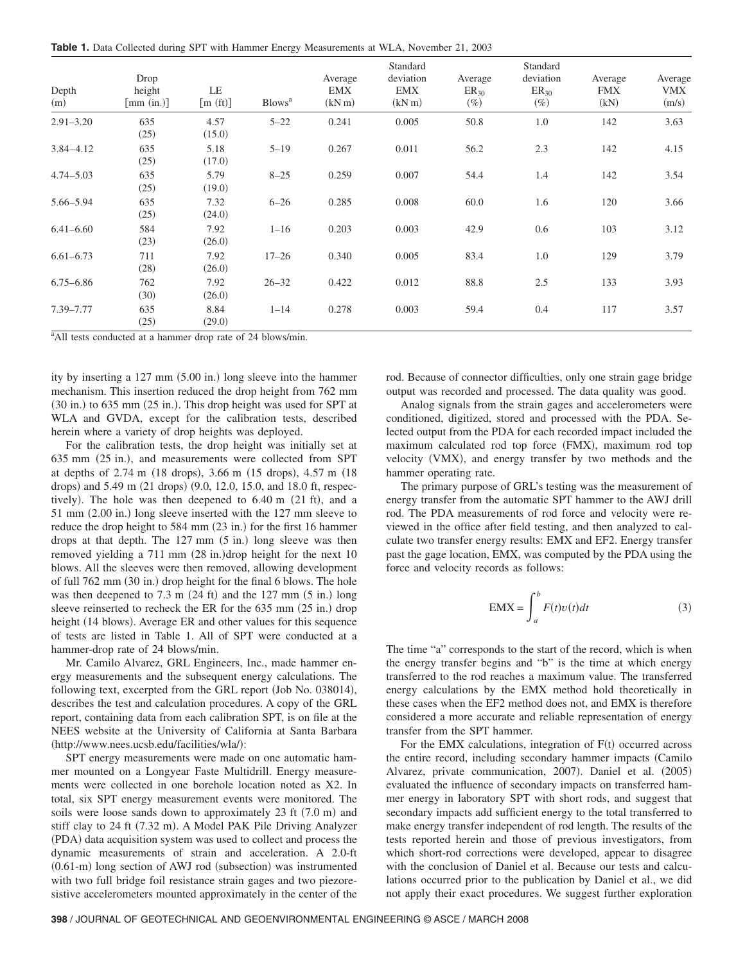**Table 1.** Data Collected during SPT with Hammer Energy Measurements at WLA, November 21, 2003

| Depth<br>(m)  | Drop<br>height<br>$\lceil \text{mm (in.)} \rceil$ | LE<br>[m(f <sub>t</sub> )] | Blows <sup>a</sup> | Average<br>EMX<br>(kN <sub>m</sub> ) | Standard<br>deviation<br>EMX<br>(kN <sub>m</sub> ) | Average<br>$ER_{30}$<br>$(\%)$ | Standard<br>deviation<br>$ER_{30}$<br>$(\%)$ | Average<br><b>FMX</b><br>(kN) | Average<br>VMX<br>(m/s) |
|---------------|---------------------------------------------------|----------------------------|--------------------|--------------------------------------|----------------------------------------------------|--------------------------------|----------------------------------------------|-------------------------------|-------------------------|
| $2.91 - 3.20$ | 635<br>(25)                                       | 4.57<br>(15.0)             | $5 - 22$           | 0.241                                | 0.005                                              | 50.8                           | 1.0                                          | 142                           | 3.63                    |
| $3.84 - 4.12$ | 635<br>(25)                                       | 5.18<br>(17.0)             | $5 - 19$           | 0.267                                | 0.011                                              | 56.2                           | 2.3                                          | 142                           | 4.15                    |
| $4.74 - 5.03$ | 635<br>(25)                                       | 5.79<br>(19.0)             | $8 - 25$           | 0.259                                | 0.007                                              | 54.4                           | 1.4                                          | 142                           | 3.54                    |
| 5.66-5.94     | 635<br>(25)                                       | 7.32<br>(24.0)             | $6 - 26$           | 0.285                                | 0.008                                              | 60.0                           | 1.6                                          | 120                           | 3.66                    |
| $6.41 - 6.60$ | 584<br>(23)                                       | 7.92<br>(26.0)             | $1 - 16$           | 0.203                                | 0.003                                              | 42.9                           | 0.6                                          | 103                           | 3.12                    |
| $6.61 - 6.73$ | 711<br>(28)                                       | 7.92<br>(26.0)             | $17 - 26$          | 0.340                                | 0.005                                              | 83.4                           | 1.0                                          | 129                           | 3.79                    |
| $6.75 - 6.86$ | 762<br>(30)                                       | 7.92<br>(26.0)             | $26 - 32$          | 0.422                                | 0.012                                              | 88.8                           | 2.5                                          | 133                           | 3.93                    |
| 7.39-7.77     | 635<br>(25)                                       | 8.84<br>(29.0)             | $1 - 14$           | 0.278                                | 0.003                                              | 59.4                           | 0.4                                          | 117                           | 3.57                    |

<sup>a</sup> All tests conducted at a hammer drop rate of 24 blows/min.

ity by inserting a  $127 \text{ mm}$   $(5.00 \text{ in.})$  long sleeve into the hammer mechanism. This insertion reduced the drop height from 762 mm  $(30 \text{ in.})$  to 635 mm  $(25 \text{ in.})$ . This drop height was used for SPT at WLA and GVDA, except for the calibration tests, described herein where a variety of drop heights was deployed.

For the calibration tests, the drop height was initially set at 635 mm (25 in.), and measurements were collected from SPT at depths of  $2.74 \text{ m}$  (18 drops),  $3.66 \text{ m}$  (15 drops),  $4.57 \text{ m}$  (18 drops) and  $5.49$  m  $(21$  drops)  $(9.0, 12.0, 15.0,$  and  $18.0$  ft, respectively). The hole was then deepened to  $6.40 \text{ m}$   $(21 \text{ ft})$ , and a  $51$  mm  $(2.00$  in.) long sleeve inserted with the  $127$  mm sleeve to reduce the drop height to 584 mm (23 in.) for the first 16 hammer drops at that depth. The  $127 \text{ mm}$   $(5 \text{ in.})$  long sleeve was then removed yielding a 711 mm (28 in.)drop height for the next 10 blows. All the sleeves were then removed, allowing development of full 762 mm (30 in.) drop height for the final 6 blows. The hole was then deepened to  $7.3 \text{ m}$   $(24 \text{ ft})$  and the  $127 \text{ mm}$   $(5 \text{ in.})$  long sleeve reinserted to recheck the ER for the 635 mm (25 in.) drop height (14 blows). Average ER and other values for this sequence of tests are listed in Table 1. All of SPT were conducted at a hammer-drop rate of 24 blows/min.

Mr. Camilo Alvarez, GRL Engineers, Inc., made hammer energy measurements and the subsequent energy calculations. The following text, excerpted from the GRL report (Job No. 038014), describes the test and calculation procedures. A copy of the GRL report, containing data from each calibration SPT, is on file at the NEES website at the University of California at Santa Barbara (http://www.nees.ucsb.edu/facilities/wla/):

SPT energy measurements were made on one automatic hammer mounted on a Longyear Faste Multidrill. Energy measurements were collected in one borehole location noted as X2. In total, six SPT energy measurement events were monitored. The soils were loose sands down to approximately  $23 \text{ ft} (7.0 \text{ m})$  and stiff clay to 24 ft (7.32 m). A Model PAK Pile Driving Analyzer !PDA" data acquisition system was used to collect and process the dynamic measurements of strain and acceleration. A 2.0-ft  $(0.61\text{-m})$  long section of AWJ rod (subsection) was instrumented with two full bridge foil resistance strain gages and two piezoresistive accelerometers mounted approximately in the center of the rod. Because of connector difficulties, only one strain gage bridge output was recorded and processed. The data quality was good.

Analog signals from the strain gages and accelerometers were conditioned, digitized, stored and processed with the PDA. Selected output from the PDA for each recorded impact included the maximum calculated rod top force (FMX), maximum rod top velocity (VMX), and energy transfer by two methods and the hammer operating rate.

The primary purpose of GRL's testing was the measurement of energy transfer from the automatic SPT hammer to the AWJ drill rod. The PDA measurements of rod force and velocity were reviewed in the office after field testing, and then analyzed to calculate two transfer energy results: EMX and EF2. Energy transfer past the gage location, EMX, was computed by the PDA using the force and velocity records as follows:

$$
EMX = \int_{a}^{b} F(t)v(t)dt
$$
 (3)

The time "a" corresponds to the start of the record, which is when the energy transfer begins and "b" is the time at which energy transferred to the rod reaches a maximum value. The transferred energy calculations by the EMX method hold theoretically in these cases when the EF2 method does not, and EMX is therefore considered a more accurate and reliable representation of energy transfer from the SPT hammer.

For the EMX calculations, integration of  $F(t)$  occurred across the entire record, including secondary hammer impacts (Camilo Alvarez, private communication, 2007). Daniel et al. (2005) evaluated the influence of secondary impacts on transferred hammer energy in laboratory SPT with short rods, and suggest that secondary impacts add sufficient energy to the total transferred to make energy transfer independent of rod length. The results of the tests reported herein and those of previous investigators, from which short-rod corrections were developed, appear to disagree with the conclusion of Daniel et al. Because our tests and calculations occurred prior to the publication by Daniel et al., we did not apply their exact procedures. We suggest further exploration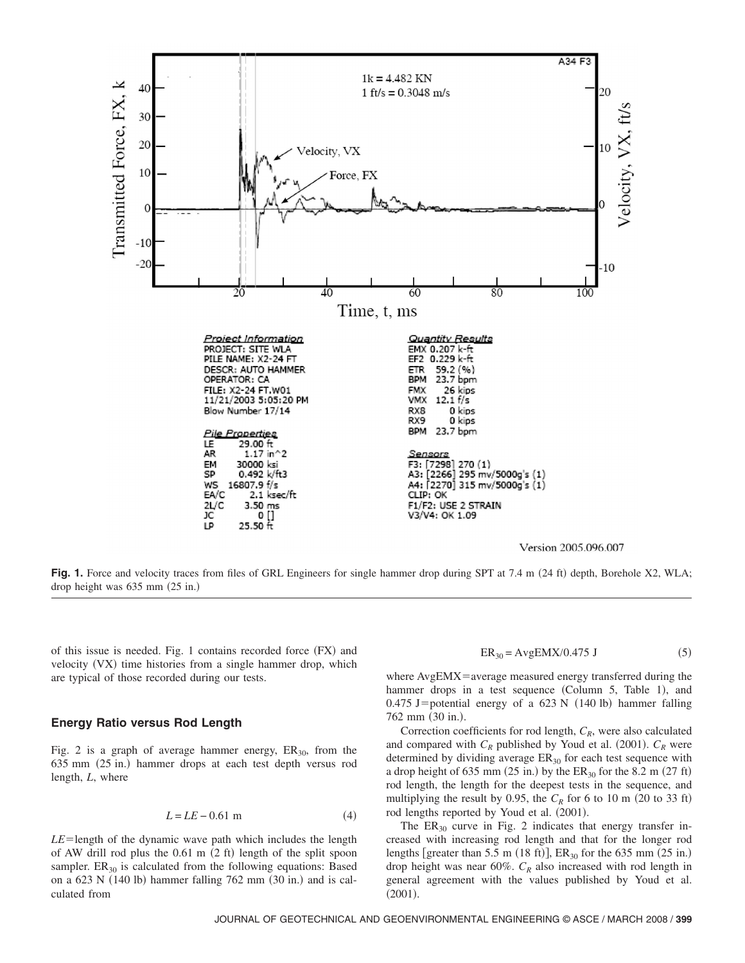

Fig. 1. Force and velocity traces from files of GRL Engineers for single hammer drop during SPT at 7.4 m (24 ft) depth, Borehole X2, WLA; drop height was  $635$  mm  $(25$  in.)

of this issue is needed. Fig. 1 contains recorded force  $(FX)$  and velocity (VX) time histories from a single hammer drop, which are typical of those recorded during our tests.

#### **Energy Ratio versus Rod Length**

Fig. 2 is a graph of average hammer energy,  $ER_{30}$ , from the  $635$  mm  $(25$  in.) hammer drops at each test depth versus rod length, *L*, where

$$
L = LE - 0.61 \text{ m} \tag{4}
$$

 $LE$ =length of the dynamic wave path which includes the length of AW drill rod plus the  $0.61 \text{ m}$   $(2 \text{ ft})$  length of the split spoon sampler.  $ER_{30}$  is calculated from the following equations: Based on a  $623$  N  $(140$  lb) hammer falling 762 mm  $(30 \text{ in.})$  and is calculated from

$$
ER_{30} = AvgEMX/0.475 J \tag{5}
$$

where  $AvgEMX$  = average measured energy transferred during the hammer drops in a test sequence (Column  $5$ , Table 1), and  $0.475$  J=potential energy of a 623 N  $(140$  lb) hammer falling  $762 \text{ mm}$   $(30 \text{ in.}).$ 

Correction coefficients for rod length,  $C_R$ , were also calculated and compared with  $C_R$  published by Youd et al. (2001).  $C_R$  were determined by dividing average  $ER_{30}$  for each test sequence with a drop height of 635 mm  $(25 \text{ in.})$  by the  $ER_{30}$  for the 8.2 m  $(27 \text{ ft})$ rod length, the length for the deepest tests in the sequence, and multiplying the result by 0.95, the  $C_R$  for 6 to 10 m (20 to 33 ft) rod lengths reported by Youd et al.  $(2001)$ .

The  $ER_{30}$  curve in Fig. 2 indicates that energy transfer increased with increasing rod length and that for the longer rod lengths [greater than 5.5 m (18 ft)],  $ER_{30}$  for the 635 mm (25 in.) drop height was near  $60\%$ .  $C_R$  also increased with rod length in general agreement with the values published by Youd et al.  $(2001).$